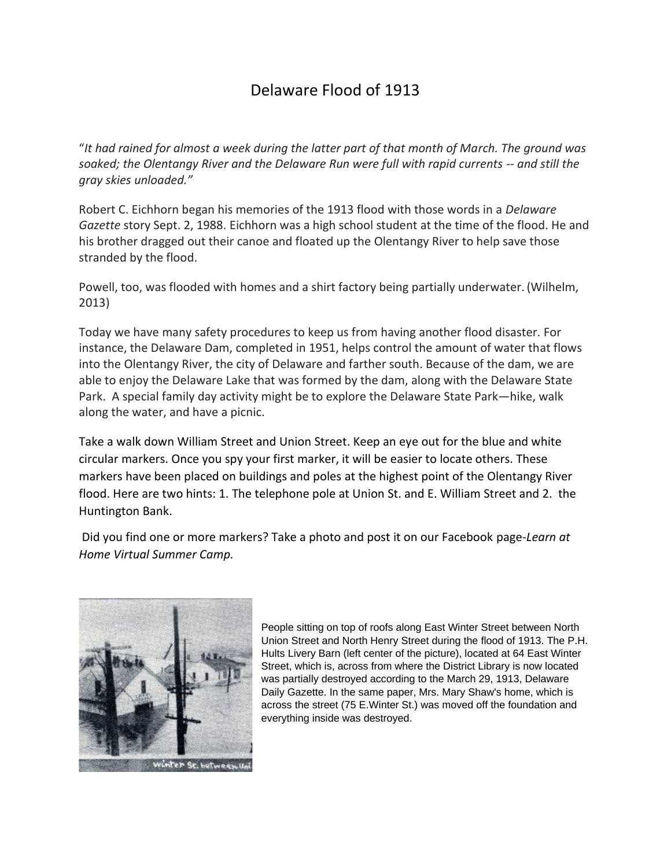## Delaware Flood of 1913

"*It had rained for almost a week during the latter part of that month of March. The ground was soaked; the Olentangy River and the Delaware Run were full with rapid currents -- and still the gray skies unloaded."*

Robert C. Eichhorn began his memories of the 1913 flood with those words in a *Delaware Gazette* story Sept. 2, 1988. Eichhorn was a high school student at the time of the flood. He and his brother dragged out their canoe and floated up the Olentangy River to help save those stranded by the flood.

Powell, too, was flooded with homes and a shirt factory being partially underwater. (Wilhelm, 2013)

Today we have many safety procedures to keep us from having another flood disaster. For instance, the Delaware Dam, completed in 1951, helps control the amount of water that flows into the Olentangy River, the city of Delaware and farther south. Because of the dam, we are able to enjoy the Delaware Lake that was formed by the dam, along with the Delaware State Park. A special family day activity might be to explore the Delaware State Park—hike, walk along the water, and have a picnic.

Take a walk down William Street and Union Street. Keep an eye out for the blue and white circular markers. Once you spy your first marker, it will be easier to locate others. These markers have been placed on buildings and poles at the highest point of the Olentangy River flood. Here are two hints: 1. The telephone pole at Union St. and E. William Street and 2. the Huntington Bank.

Did you find one or more markers? Take a photo and post it on our Facebook page-*Learn at Home Virtual Summer Camp.*



People sitting on top of roofs along East Winter Street between North Union Street and North Henry Street during the flood of 1913. The P.H. Hults Livery Barn (left center of the picture), located at 64 East Winter Street, which is, across from where the District Library is now located was partially destroyed according to the March 29, 1913, Delaware Daily Gazette. In the same paper, Mrs. Mary Shaw's home, which is across the street (75 E.Winter St.) was moved off the foundation and everything inside was destroyed.